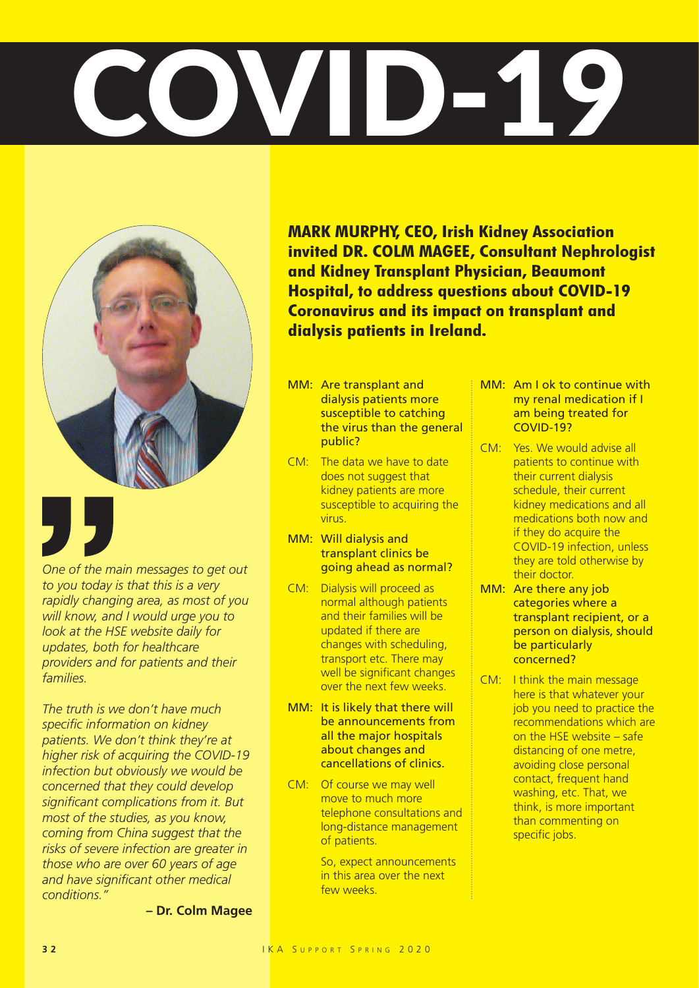## COVIDETS



*One of the main messages to get out to you today is that this is a very rapidly changing area, as most of you will know, and I would urge you to look at the HSE website daily for updates, both for healthcare providers and for patients and their families.* 

*The truth is we don't have much specific information on kidney patients. We don't think they're at higher risk of acquiring the COVID-19 infection but obviously we would be concerned that they could develop significant complications from it. But most of the studies, as you know, coming from China suggest that the risks of severe infection are greater in those who are over 60 years of age and have significant other medical conditions."*

**– Dr. Colm Magee**

**MARK MURPHY, CEO, Irish Kidney Association invited DR. COLM MAGEE, Consultant Nephrologist and Kidney Transplant Physician, Beaumont Hospital, to address questions about COVID-19 Coronavirus and its impact on transplant and dialysis patients in Ireland.**

- MM: Are transplant and dialysis patients more susceptible to catching the virus than the general public?
- CM: The data we have to date does not suggest that kidney patients are more susceptible to acquiring the virus.
- MM: Will dialysis and transplant clinics be going ahead as normal?
- CM: Dialysis will proceed as normal although patients and their families will be updated if there are changes with scheduling, transport etc. There may well be significant changes over the next few weeks.
- MM: It is likely that there will be announcements from all the major hospitals about changes and cancellations of clinics.
- CM: Of course we may well move to much more telephone consultations and long-distance management of patients.

So, expect announcements in this area over the next few weeks.

- MM: Am I ok to continue with my renal medication if I am being treated for COVID-19?
- CM: Yes. We would advise all patients to continue with their current dialysis schedule, their current kidney medications and all medications both now and if they do acquire the COVID-19 infection, unless they are told otherwise by their doctor.
- MM: Are there any job categories where a transplant recipient, or a person on dialysis, should be particularly concerned?
- CM: I think the main message here is that whatever your job you need to practice the recommendations which are on the HSE website – safe distancing of one metre, avoiding close personal contact, frequent hand washing, etc. That, we think, is more important than commenting on specific jobs.